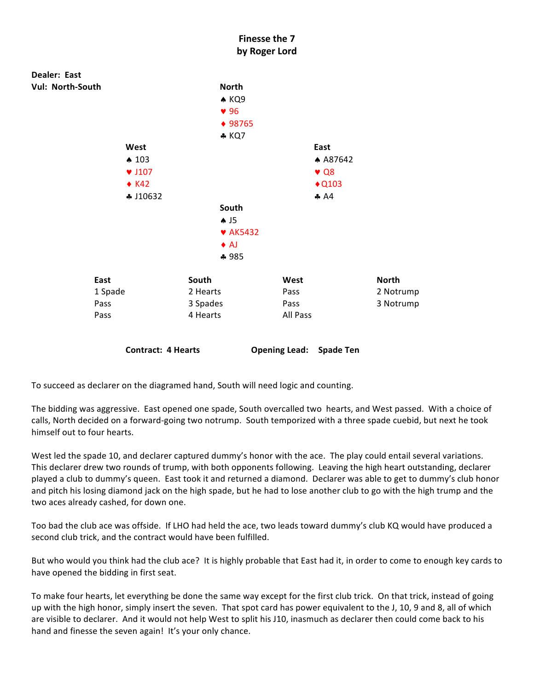

To succeed as declarer on the diagramed hand, South will need logic and counting.

The bidding was aggressive. East opened one spade, South overcalled two hearts, and West passed. With a choice of calls, North decided on a forward-going two notrump. South temporized with a three spade cuebid, but next he took himself out to four hearts.

West led the spade 10, and declarer captured dummy's honor with the ace. The play could entail several variations. This declarer drew two rounds of trump, with both opponents following. Leaving the high heart outstanding, declarer played a club to dummy's queen. East took it and returned a diamond. Declarer was able to get to dummy's club honor and pitch his losing diamond jack on the high spade, but he had to lose another club to go with the high trump and the two aces already cashed, for down one.

Too bad the club ace was offside. If LHO had held the ace, two leads toward dummy's club KQ would have produced a second club trick, and the contract would have been fulfilled.

But who would you think had the club ace? It is highly probable that East had it, in order to come to enough key cards to have opened the bidding in first seat.

To make four hearts, let everything be done the same way except for the first club trick. On that trick, instead of going up with the high honor, simply insert the seven. That spot card has power equivalent to the J, 10, 9 and 8, all of which are visible to declarer. And it would not help West to split his J10, inasmuch as declarer then could come back to his hand and finesse the seven again! It's your only chance.